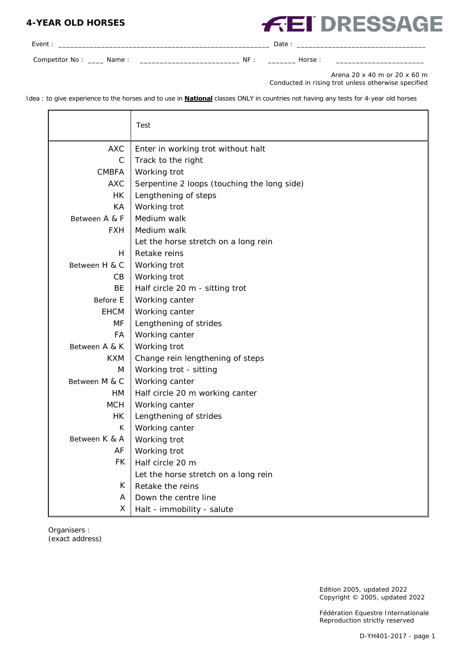## **4-YEAR OLD HORSES**

## **FEI DRESSAGE**

| Event:                 |    | Date  |  |
|------------------------|----|-------|--|
| Competitor No:<br>Name | NF | Horse |  |

Arena 20 x 40 m or 20 x 60 m Conducted in rising trot unless otherwise specified

Idea : to give experience to the horses and to use in **National** classes ONLY in countries not having any tests for 4-year old horses

|               | Test                                        |
|---------------|---------------------------------------------|
| <b>AXC</b>    | Enter in working trot without halt          |
| C             | Track to the right                          |
| <b>CMBFA</b>  | Working trot                                |
| <b>AXC</b>    | Serpentine 2 loops (touching the long side) |
| <b>HK</b>     | Lengthening of steps                        |
| KA            | Working trot                                |
| Between A & F | Medium walk                                 |
| <b>FXH</b>    | Medium walk                                 |
|               | Let the horse stretch on a long rein        |
| H             | Retake reins                                |
| Between H & C | Working trot                                |
| CВ            | Working trot                                |
| <b>BE</b>     | Half circle 20 m - sitting trot             |
| Before E      | Working canter                              |
| <b>EHCM</b>   | Working canter                              |
| МF            | Lengthening of strides                      |
| FA            | Working canter                              |
| Between A & K | Working trot                                |
| <b>KXM</b>    | Change rein lengthening of steps            |
| M             | Working trot - sitting                      |
| Between M & C | Working canter                              |
| <b>HM</b>     | Half circle 20 m working canter             |
| <b>MCH</b>    | Working canter                              |
| HK            | Lengthening of strides                      |
| К             | Working canter                              |
| Between K & A | Working trot                                |
| AF            | Working trot                                |
| <b>FK</b>     | Half circle 20 m                            |
|               | Let the horse stretch on a long rein        |
| K             | Retake the reins                            |
| A             | Down the centre line                        |
| X             | Halt - immobility - salute                  |

Organisers : (exact address)

> Edition 2005, updated 2022 Copyright © 2005, updated 2022

Fédération Equestre Internationale Reproduction strictly reserved